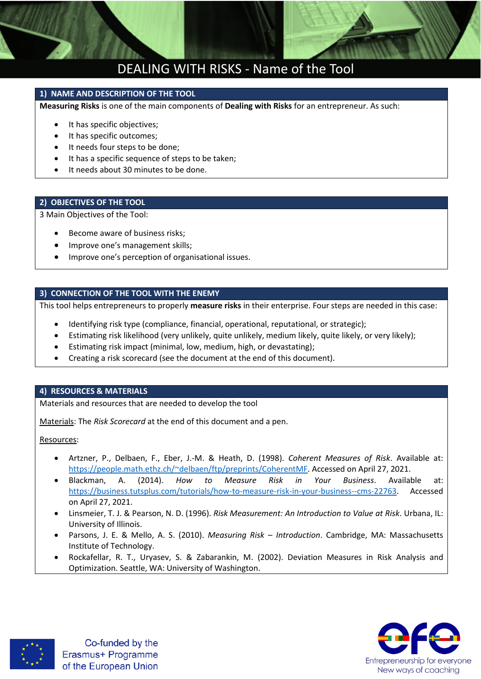

# DEALING WITH RISKS - Name of the Tool

### **1) NAME AND DESCRIPTION OF THE TOOL**

**Measuring Risks** is one of the main components of **Dealing with Risks** for an entrepreneur. As such:

- It has specific objectives;
- It has specific outcomes;
- It needs four steps to be done;
- It has a specific sequence of steps to be taken;
- It needs about 30 minutes to be done.

### **2) OBJECTIVES OF THE TOOL**

3 Main Objectives of the Tool:

- Become aware of business risks;
- Improve one's management skills;
- **•** Improve one's perception of organisational issues.

### **3) CONNECTION OF THE TOOL WITH THE ENEMY**

This tool helps entrepreneurs to properly **measure risks** in their enterprise. Four steps are needed in this case:

- Identifying risk type (compliance, financial, operational, reputational, or strategic);
- Estimating risk likelihood (very unlikely, quite unlikely, medium likely, quite likely, or very likely);
- Estimating risk impact (minimal, low, medium, high, or devastating);
- Creating a risk scorecard (see the document at the end of this document).

### **4) RESOURCES & MATERIALS**

Materials and resources that are needed to develop the tool

Materials: The *Risk Scorecard* at the end of this document and a pen.

Resources:

- Artzner, P., Delbaen, F., Eber, J.-M. & Heath, D. (1998). *Coherent Measures of Risk*. Available at: [https://people.math.ethz.ch/~delbaen/ftp/preprints/CoherentMF.](https://people.math.ethz.ch/~delbaen/ftp/preprints/CoherentMF.%20Accessed%20on%20April%2027) Accessed on April 27, 2021.
- Blackman, A. (2014). *How to Measure Risk in Your Business*. Available at: [https://business.tutsplus.com/tutorials/how-to-measure-risk-in-your-business--cms-22763.](https://business.tutsplus.com/tutorials/how-to-measure-risk-in-your-business--cms-22763) Accessed on April 27, 2021.
- Linsmeier, T. J. & Pearson, N. D. (1996). *Risk Measurement: An Introduction to Value at Risk*. Urbana, IL: University of Illinois.
- Parsons, J. E. & Mello, A. S. (2010). *Measuring Risk – Introduction*. Cambridge, MA: Massachusetts Institute of Technology.
- Rockafellar, R. T., Uryasev, S. & Zabarankin, M. (2002). Deviation Measures in Risk Analysis and Optimization. Seattle, WA: University of Washington.



Co-funded by the Erasmus+ Programme of the European Union

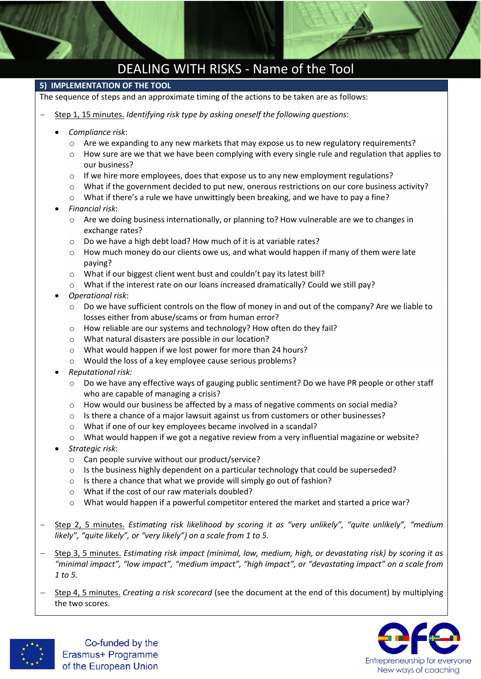# DEALING WITH RISKS - Name of the Tool

### **5) IMPLEMENTATION OF THE TOOL**

The sequence of steps and an approximate timing of the actions to be taken are as follows:

- Step 1, 15 minutes. *Identifying risk type by asking oneself the following questions*:
	- *Compliance risk*:
		- $\circ$  Are we expanding to any new markets that may expose us to new regulatory requirements?
		- o How sure are we that we have been complying with every single rule and regulation that applies to our business?
		- $\circ$  If we hire more employees, does that expose us to any new employment regulations?
		- $\circ$  What if the government decided to put new, onerous restrictions on our core business activity?
		- o What if there's a rule we have unwittingly been breaking, and we have to pay a fine?
	- *Financial risk*:
		- o Are we doing business internationally, or planning to? How vulnerable are we to changes in exchange rates?
		- o Do we have a high debt load? How much of it is at variable rates?
		- $\circ$  How much money do our clients owe us, and what would happen if many of them were late paying?
		- o What if our biggest client went bust and couldn't pay its latest bill?
		- $\circ$  What if the interest rate on our loans increased dramatically? Could we still pay?
	- *Operational risk*:
		- $\circ$  Do we have sufficient controls on the flow of money in and out of the company? Are we liable to losses either from abuse/scams or from human error?
		- o How reliable are our systems and technology? How often do they fail?
		- o What natural disasters are possible in our location?
		- o What would happen if we lost power for more than 24 hours?
		- o Would the loss of a key employee cause serious problems?
	- *Reputational risk:*
		- o Do we have any effective ways of gauging public sentiment? Do we have PR people or other staff who are capable of managing a crisis?
		- $\circ$  How would our business be affected by a mass of negative comments on social media?
		- o Is there a chance of a major lawsuit against us from customers or other businesses?
		- o What if one of our key employees became involved in a scandal?
		- o What would happen if we got a negative review from a very influential magazine or website?
	- *Strategic risk*:
		- o Can people survive without our product/service?
		- $\circ$  Is the business highly dependent on a particular technology that could be superseded?
		- o Is there a chance that what we provide will simply go out of fashion?
		- o What if the cost of our raw materials doubled?
		- o What would happen if a powerful competitor entered the market and started a price war?
- Step 2, 5 minutes. *Estimating risk likelihood by scoring it as "very unlikely", "quite unlikely", "medium likely", "quite likely", or "very likely") on a scale from 1 to 5.*
- Step 3, 5 minutes. *Estimating risk impact (minimal, low, medium, high, or devastating risk) by scoring it as*  "minimal impact", "low impact", "medium impact", "high impact", or "devastating impact" on a scale from *1 to 5.*
- Step 4, 5 minutes. *Creating a risk scorecard* (see the document at the end of this document) by multiplying the two scores.





Co-funded by the Erasmus+ Programme of the European Union